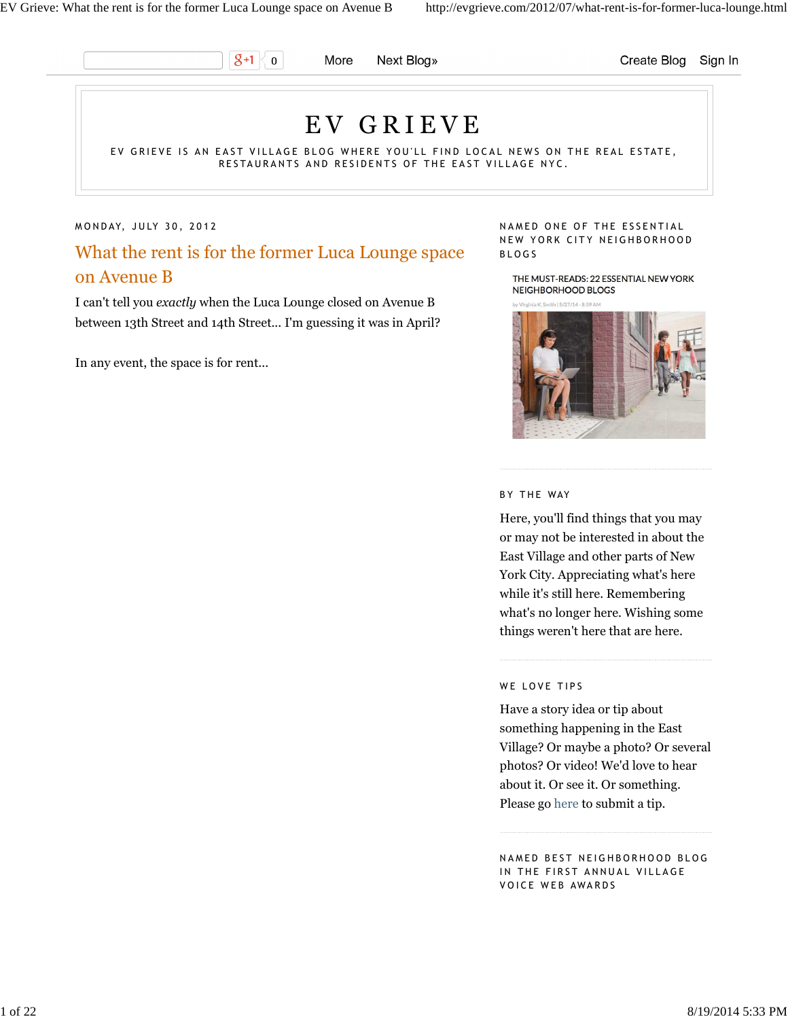$g_{+1}$  $\mathbf 0$ 

More Next Blog» Create Blog Sign In

# E V G R I E V E

EV GRIEVE IS AN EAST VILLAGE BLOG WHERE YOU'LL FIND LOCAL NEWS ON THE REAL ESTATE, RESTAURANTS AND RESIDENTS OF THE EAST VILLAGE NYC.

#### MONDAY, JULY 30, 2012

What the rent is for the former Luca Lounge space on Avenue B

I can't tell you *exactly* when the Luca Lounge closed on Avenue B between 13th Street and 14th Street... I'm guessing it was in April?

In any event, the space is for rent...

#### NAMED ONE OF THE ESSENTIAL NEW YORK CITY NEIGHBORHOOD B L O G S

THE MUST-READS: 22 ESSENTIAL NEW YORK NEIGHBORHOOD BLOGS

K. Smith | 5/27/14 - 8:59 AN



#### BY THE WAY

Here, you'll find things that you may or may not be interested in about the East Village and other parts of New York City. Appreciating what's here while it's still here. Remembering what's no longer here. Wishing some things weren't here that are here.

#### WE LOVE TIPS

Have a story idea or tip about something happening in the East Village? Or maybe a photo? Or several photos? Or video! We'd love to hear about it. Or see it. Or something. Please go here to submit a tip.

NAMED BEST NEIGHBORHOOD BLOG IN THE FIRST ANNUAL VILLAGE VOICE WEB AWARDS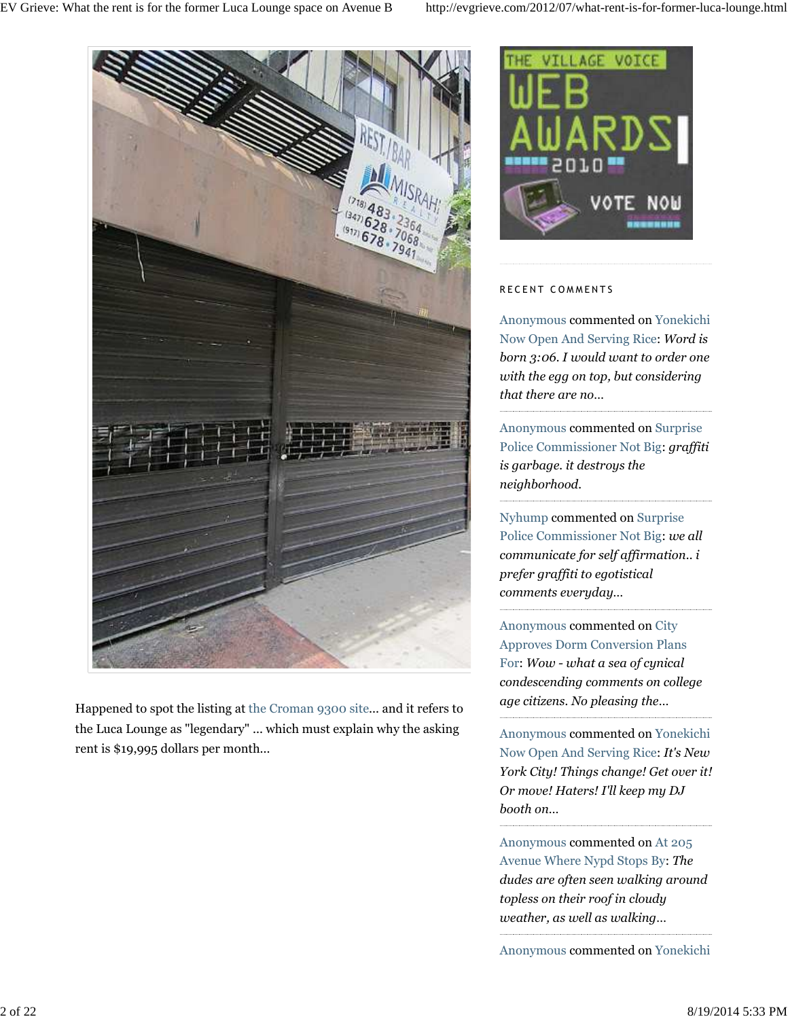

Happened to spot the listing at the Croman 9300 site... and it refers to the Luca Lounge as "legendary" ... which must explain why the asking rent is \$19,995 dollars per month...



### RECENT COMMENTS

Anonymous commented on Yonekichi Now Open And Serving Rice: *Word is born 3:06. I would want to order one with the egg on top, but considering that there are no…*

Anonymous commented on Surprise Police Commissioner Not Big: *graffiti is garbage. it destroys the neighborhood.*

Nyhump commented on Surprise Police Commissioner Not Big: *we all communicate for self affirmation.. i prefer graffiti to egotistical comments everyday…*

Anonymous commented on City Approves Dorm Conversion Plans For: *Wow - what a sea of cynical condescending comments on college age citizens. No pleasing the…*

Anonymous commented on Yonekichi Now Open And Serving Rice: *It's New York City! Things change! Get over it! Or move! Haters! I'll keep my DJ booth on…*

Anonymous commented on At 205 Avenue Where Nypd Stops By: *The dudes are often seen walking around topless on their roof in cloudy weather, as well as walking…*

Anonymous commented on Yonekichi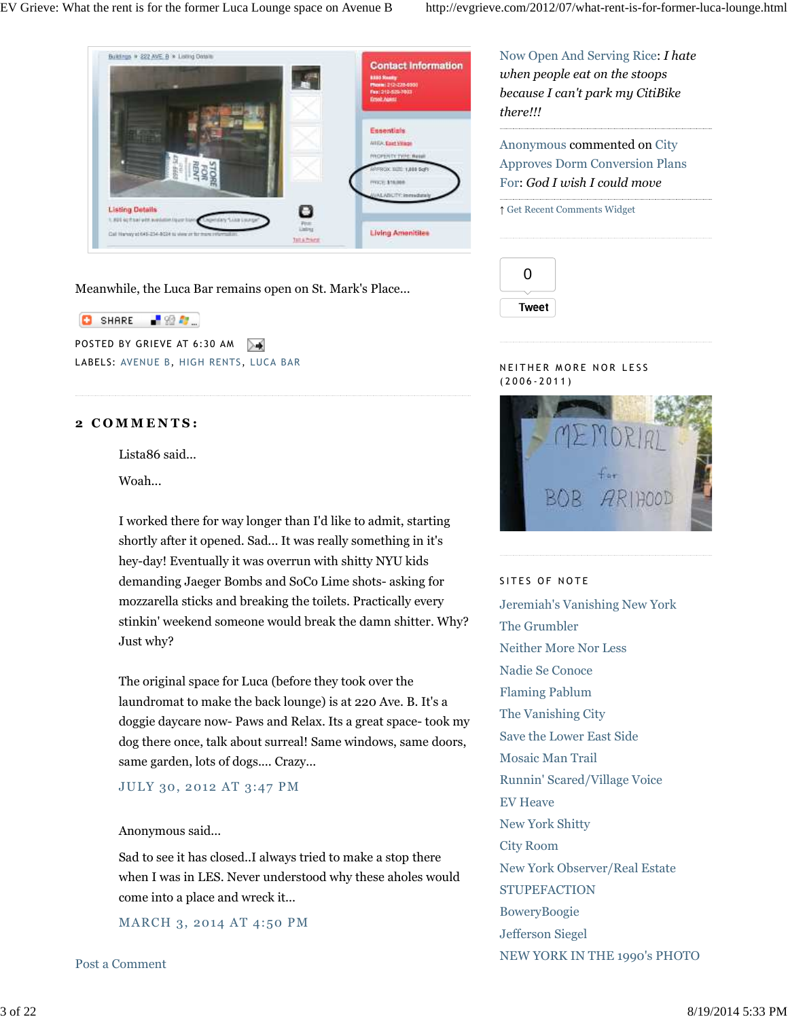

Meanwhile, the Luca Bar remains open on St. Mark's Place...

**C** SHARE ■金配

POSTED BY GRIEVE AT 6:30 AM LABELS: AVENUE B, HIGH RENTS, LUCA BAR

# **2 C O M M E N T S :**

Lista86 said...

Woah...

I worked there for way longer than I'd like to admit, starting shortly after it opened. Sad... It was really something in it's hey-day! Eventually it was overrun with shitty NYU kids demanding Jaeger Bombs and SoCo Lime shots- asking for mozzarella sticks and breaking the toilets. Practically every stinkin' weekend someone would break the damn shitter. Why? Just why?

The original space for Luca (before they took over the laundromat to make the back lounge) is at 220 Ave. B. It's a doggie daycare now- Paws and Relax. Its a great space- took my dog there once, talk about surreal! Same windows, same doors, same garden, lots of dogs.... Crazy...

JULY 30, 2012 AT 3:47 PM

# Anonymous said...

Sad to see it has closed..I always tried to make a stop there when I was in LES. Never understood why these aholes would come into a place and wreck it...

MARCH 3, 2014 AT 4:50 PM

Post a Comment

Now Open And Serving Rice: *I hate when people eat on the stoops because I can't park my CitiBike there!!!*

Anonymous commented on City Approves Dorm Conversion Plans For: *God I wish I could move*

### ↑ Get Recent Comments Widget



## N EITHER MORE NOR LESS ( 2 0 0 6 - 2 0 1 1 )



## SITES OF NOTE

Jeremiah's Vanishing New York The Grumbler Neither More Nor Less Nadie Se Conoce Flaming Pablum The Vanishing City Save the Lower East Side Mosaic Man Trail Runnin' Scared/Village Voice EV Heave New York Shitty City Room New York Observer/Real Estate **STUPEFACTION** BoweryBoogie Jefferson Siegel NEW YORK IN THE 1990's PHOTO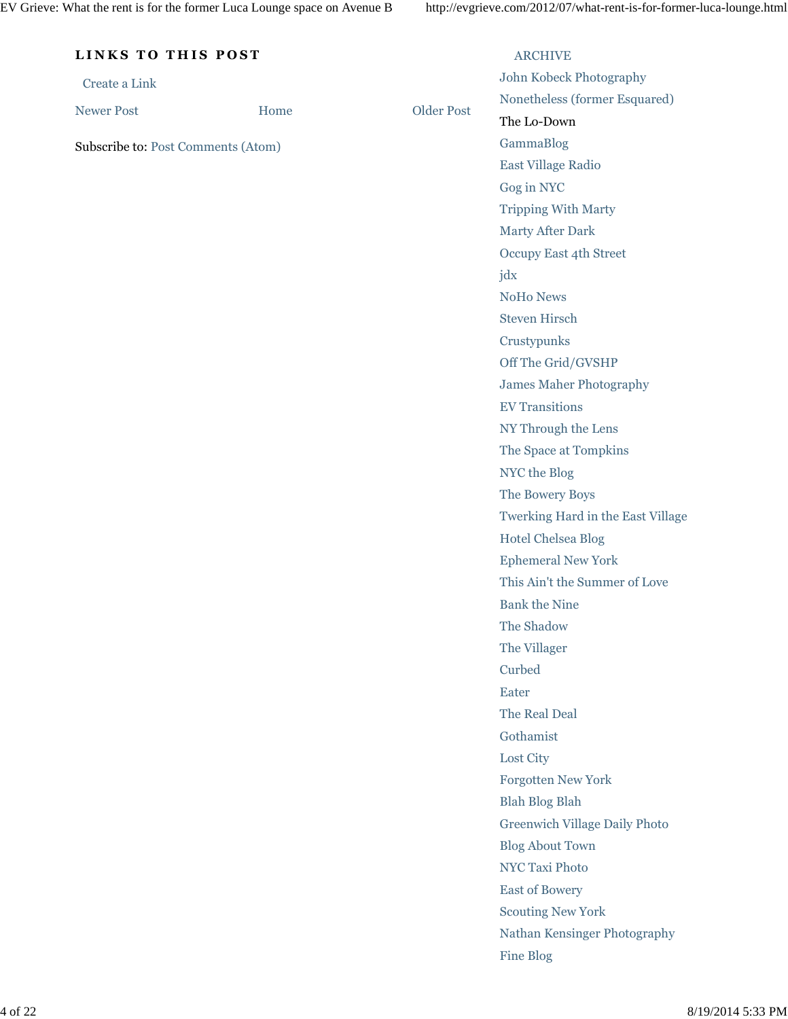| LINKS TO THIS POST                 |      |                   | <b>ARCHIVE</b>                       |  |
|------------------------------------|------|-------------------|--------------------------------------|--|
| Create a Link                      |      |                   | John Kobeck Photography              |  |
|                                    |      | <b>Older Post</b> | Nonetheless (former Esquared)        |  |
| <b>Newer Post</b>                  | Home |                   | The Lo-Down                          |  |
| Subscribe to: Post Comments (Atom) |      |                   | GammaBlog                            |  |
|                                    |      |                   | East Village Radio                   |  |
|                                    |      |                   | Gog in NYC                           |  |
|                                    |      |                   | <b>Tripping With Marty</b>           |  |
|                                    |      |                   | Marty After Dark                     |  |
|                                    |      |                   | Occupy East 4th Street               |  |
|                                    |      |                   | jdx                                  |  |
|                                    |      |                   | NoHo News                            |  |
|                                    |      |                   | <b>Steven Hirsch</b>                 |  |
|                                    |      |                   | Crustypunks                          |  |
|                                    |      |                   | Off The Grid/GVSHP                   |  |
|                                    |      |                   | <b>James Maher Photography</b>       |  |
|                                    |      |                   | <b>EV Transitions</b>                |  |
|                                    |      |                   | NY Through the Lens                  |  |
|                                    |      |                   | The Space at Tompkins                |  |
|                                    |      |                   | NYC the Blog                         |  |
|                                    |      |                   | The Bowery Boys                      |  |
|                                    |      |                   | Twerking Hard in the East Village    |  |
|                                    |      |                   | <b>Hotel Chelsea Blog</b>            |  |
|                                    |      |                   | <b>Ephemeral New York</b>            |  |
|                                    |      |                   | This Ain't the Summer of Love        |  |
|                                    |      |                   | <b>Bank the Nine</b>                 |  |
|                                    |      |                   | The Shadow                           |  |
|                                    |      |                   | The Villager                         |  |
|                                    |      |                   | Curbed                               |  |
|                                    |      |                   | Eater                                |  |
|                                    |      |                   | The Real Deal                        |  |
|                                    |      |                   | Gothamist                            |  |
|                                    |      |                   | Lost City                            |  |
|                                    |      |                   | Forgotten New York                   |  |
|                                    |      |                   | <b>Blah Blog Blah</b>                |  |
|                                    |      |                   | <b>Greenwich Village Daily Photo</b> |  |
|                                    |      |                   | <b>Blog About Town</b>               |  |
|                                    |      |                   | <b>NYC Taxi Photo</b>                |  |
|                                    |      |                   | <b>East of Bowery</b>                |  |
|                                    |      |                   | <b>Scouting New York</b>             |  |
|                                    |      |                   | Nathan Kensinger Photography         |  |
|                                    |      |                   | <b>Fine Blog</b>                     |  |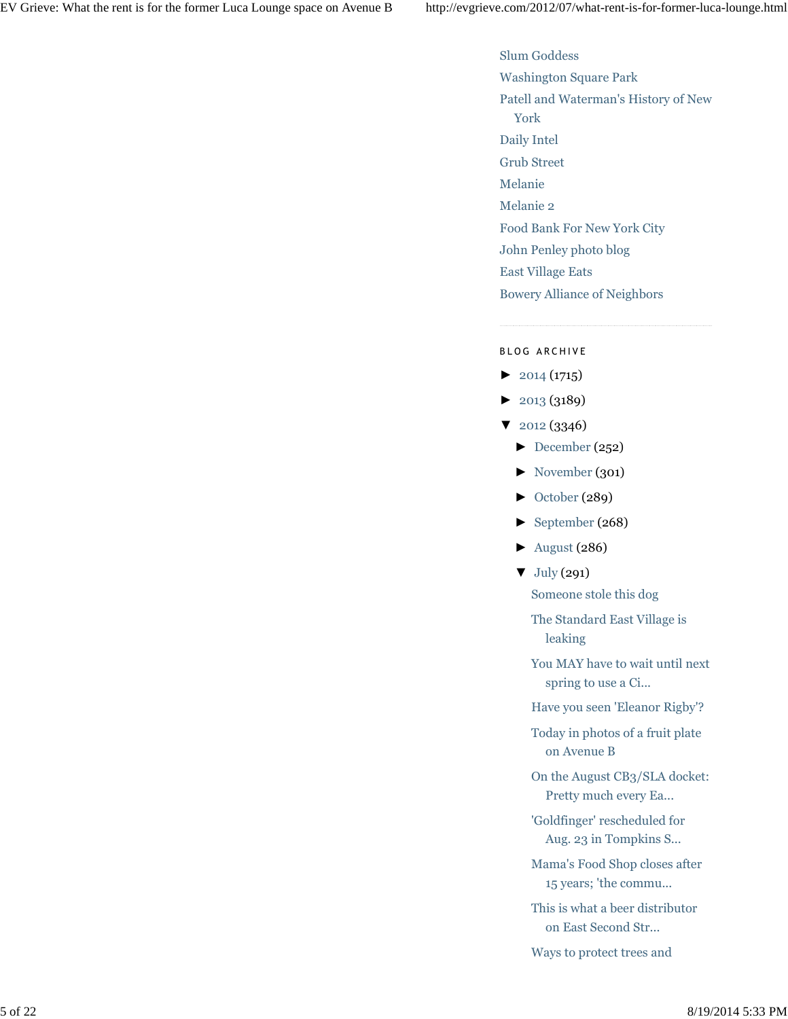Slum Goddess Washington Square Park Patell and Waterman's History of New York Daily Intel Grub Street Melanie Melanie 2 Food Bank For New York City John Penley photo blog East Village Eats Bowery Alliance of Neighbors

### BLOG ARCHIVE

- $\blacktriangleright$  2014 (1715)
- ► 2013 (3189)
- ▼ 2012 (3346)
	- $\blacktriangleright$  December (252)
	- ► November (301)
	- ► October (289)
	- ► September (268)
	- $\blacktriangleright$  August (286)
	- ▼ July (291)
		- Someone stole this dog
		- The Standard East Village is leaking
		- You MAY have to wait until next spring to use a Ci...
		- Have you seen 'Eleanor Rigby'?
		- Today in photos of a fruit plate on Avenue B
		- On the August CB3/SLA docket: Pretty much every Ea...
		- 'Goldfinger' rescheduled for Aug. 23 in Tompkins S...
		- Mama's Food Shop closes after 15 years; 'the commu...
		- This is what a beer distributor on East Second Str...
		- Ways to protect trees and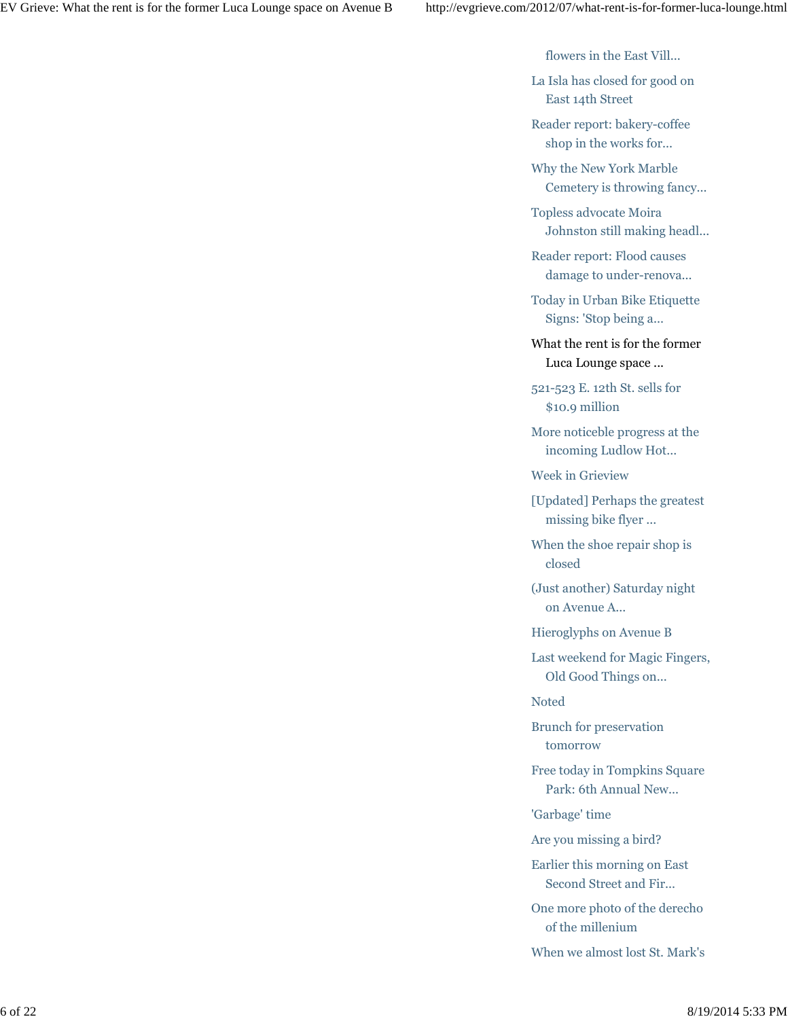flowers in the East Vill...

La Isla has closed for good on East 14th Street

Reader report: bakery-coffee shop in the works for...

Why the New York Marble Cemetery is throwing fancy...

Topless advocate Moira Johnston still making headl...

Reader report: Flood causes damage to under-renova...

Today in Urban Bike Etiquette Signs: 'Stop being a...

What the rent is for the former Luca Lounge space ...

521-523 E. 12th St. sells for \$10.9 million

More noticeble progress at the incoming Ludlow Hot...

Week in Grieview

[Updated] Perhaps the greatest missing bike flyer ...

When the shoe repair shop is closed

(Just another) Saturday night on Avenue A...

Hieroglyphs on Avenue B

Last weekend for Magic Fingers, Old Good Things on...

Noted

Brunch for preservation tomorrow

Free today in Tompkins Square Park: 6th Annual New...

'Garbage' time

Are you missing a bird?

Earlier this morning on East Second Street and Fir...

One more photo of the derecho of the millenium

When we almost lost St. Mark's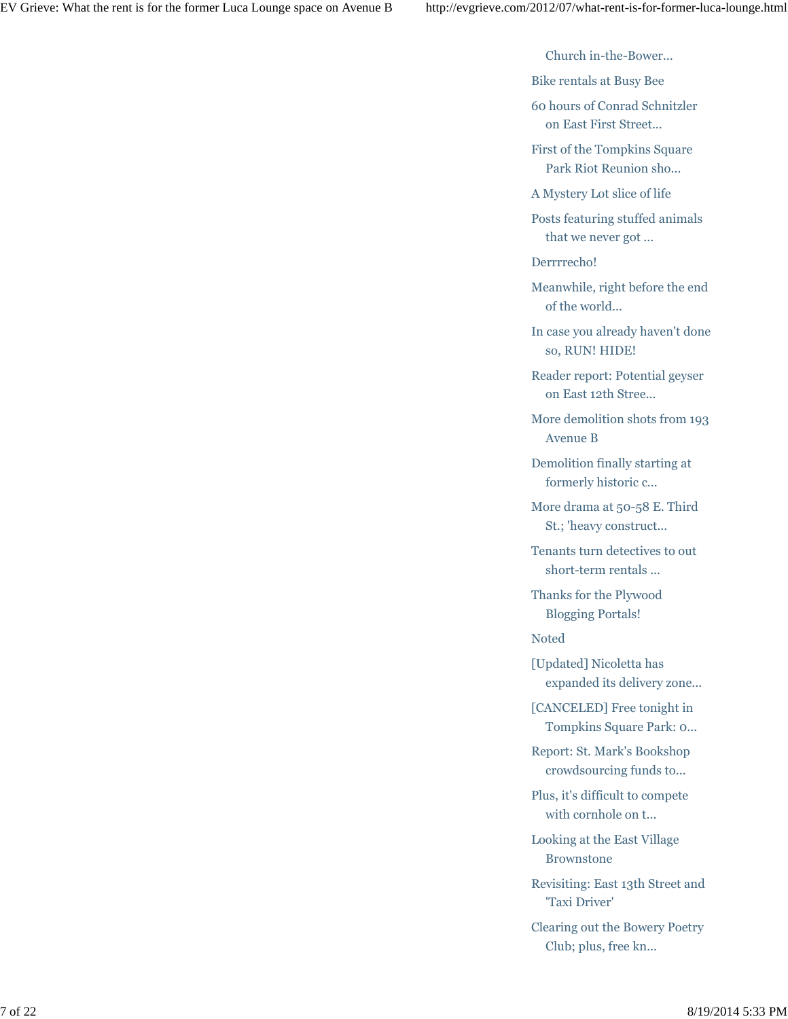Church in-the-Bower...

Bike rentals at Busy Bee

60 hours of Conrad Schnitzler on East First Street...

First of the Tompkins Square Park Riot Reunion sho...

A Mystery Lot slice of life

Posts featuring stuffed animals that we never got ...

Derrrrecho!

Meanwhile, right before the end of the world...

In case you already haven't done so, RUN! HIDE!

Reader report: Potential geyser on East 12th Stree...

More demolition shots from 193 Avenue B

Demolition finally starting at formerly historic c...

More drama at 50-58 E. Third St.; 'heavy construct...

Tenants turn detectives to out short-term rentals ...

Thanks for the Plywood Blogging Portals!

Noted

[Updated] Nicoletta has expanded its delivery zone...

[CANCELED] Free tonight in Tompkins Square Park: 0...

Report: St. Mark's Bookshop crowdsourcing funds to...

Plus, it's difficult to compete with cornhole on t...

Looking at the East Village Brownstone

Revisiting: East 13th Street and 'Taxi Driver'

Clearing out the Bowery Poetry Club; plus, free kn...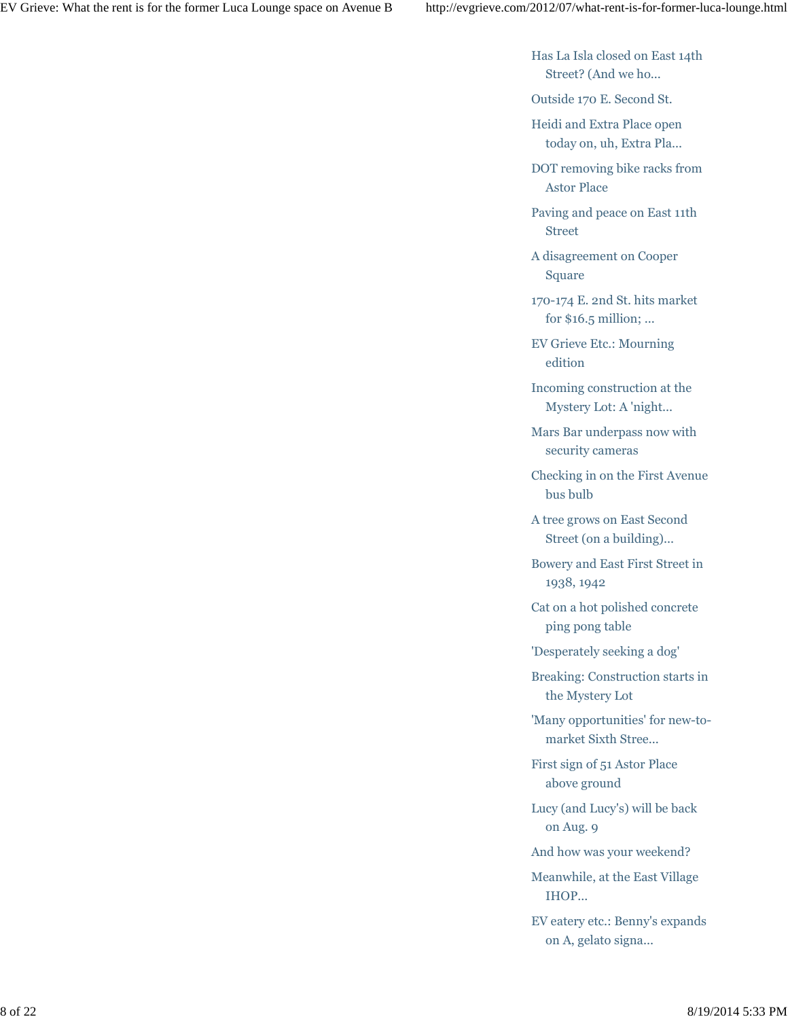Has La Isla closed on East 14th Street? (And we ho...

Outside 170 E. Second St.

Heidi and Extra Place open today on, uh, Extra Pla...

DOT removing bike racks from Astor Place

Paving and peace on East 11th Street

A disagreement on Cooper Square

170-174 E. 2nd St. hits market for \$16.5 million; ...

EV Grieve Etc.: Mourning edition

Incoming construction at the Mystery Lot: A 'night...

Mars Bar underpass now with security cameras

Checking in on the First Avenue bus bulb

A tree grows on East Second Street (on a building)...

Bowery and East First Street in 1938, 1942

Cat on a hot polished concrete ping pong table

'Desperately seeking a dog'

Breaking: Construction starts in the Mystery Lot

'Many opportunities' for new-tomarket Sixth Stree...

First sign of 51 Astor Place above ground

Lucy (and Lucy's) will be back on Aug. 9

And how was your weekend?

Meanwhile, at the East Village IHOP...

EV eatery etc.: Benny's expands on A, gelato signa...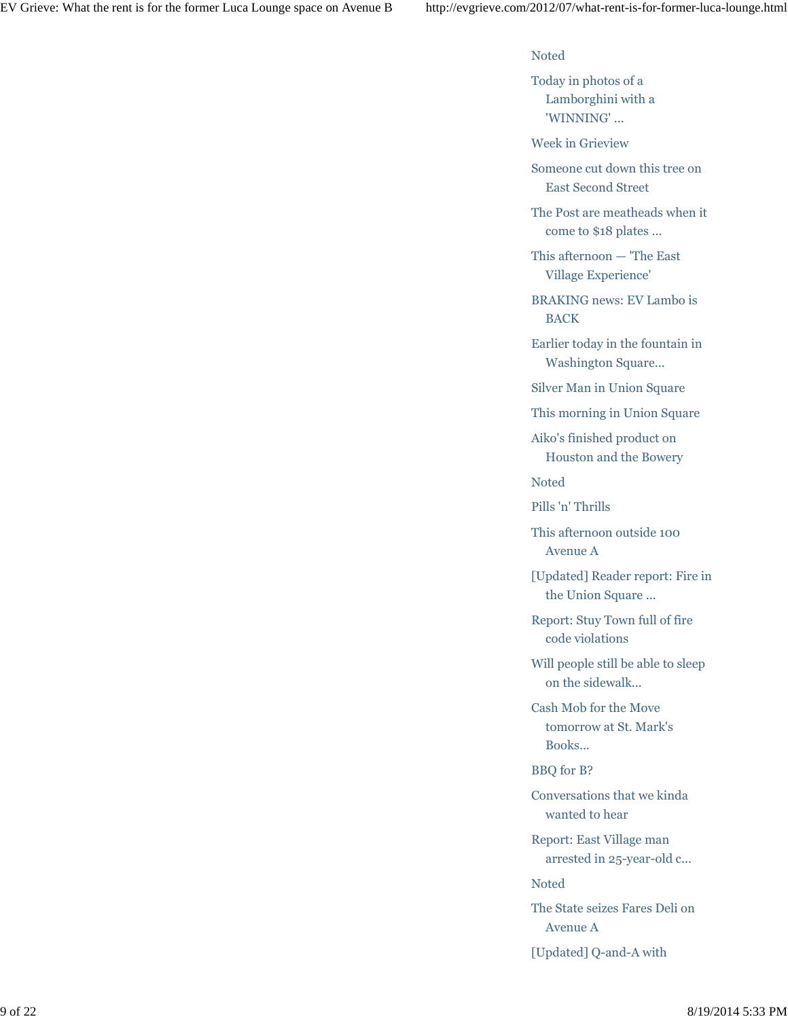## Noted

Today in photos of a Lamborghini with a 'WINNING' ...

Week in Grieview

Someone cut down this tree on East Second Street

The Post are meatheads when it come to \$18 plates ...

This afternoon — 'The East Village Experience'

BRAKING news: EV Lambo is BACK

Earlier today in the fountain in Washington Square...

Silver Man in Union Square

This morning in Union Square

Aiko's finished product on Houston and the Bowery

Noted

Pills 'n' Thrills

This afternoon outside 100 Avenue A

[Updated] Reader report: Fire in the Union Square ...

Report: Stuy Town full of fire code violations

Will people still be able to sleep on the sidewalk...

Cash Mob for the Move tomorrow at St. Mark's Books...

BBQ for B?

Conversations that we kinda wanted to hear

Report: East Village man arrested in 25-year-old c...

Noted

The State seizes Fares Deli on Avenue A

[Updated] Q-and-A with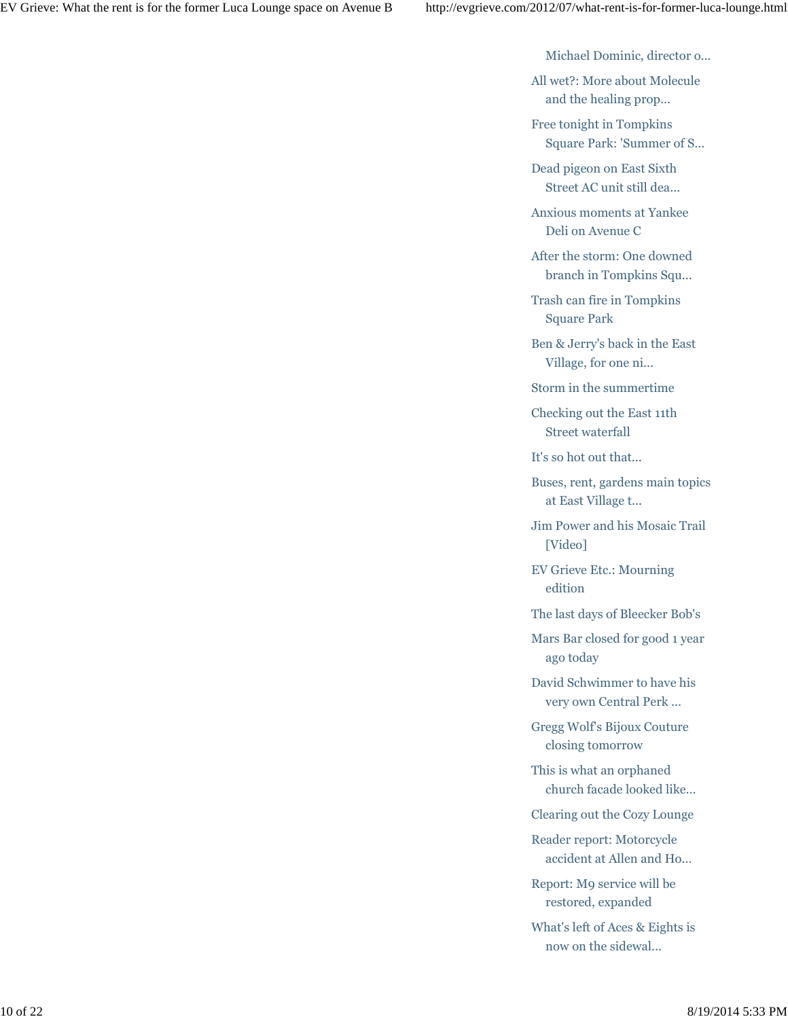Michael Dominic, director o...

All wet?: More about Molecule and the healing prop...

Free tonight in Tompkins Square Park: 'Summer of S...

Dead pigeon on East Sixth Street AC unit still dea...

Anxious moments at Yankee Deli on Avenue C

After the storm: One downed branch in Tompkins Squ...

Trash can fire in Tompkins Square Park

Ben & Jerry's back in the East Village, for one ni...

Storm in the summertime

Checking out the East 11th Street waterfall

It's so hot out that...

Buses, rent, gardens main topics at East Village t...

Jim Power and his Mosaic Trail [Video]

EV Grieve Etc.: Mourning edition

The last days of Bleecker Bob's

Mars Bar closed for good 1 year ago today

David Schwimmer to have his very own Central Perk ...

Gregg Wolf's Bijoux Couture closing tomorrow

This is what an orphaned church facade looked like...

Clearing out the Cozy Lounge

Reader report: Motorcycle accident at Allen and Ho...

Report: M9 service will be restored, expanded

What's left of Aces & Eights is now on the sidewal...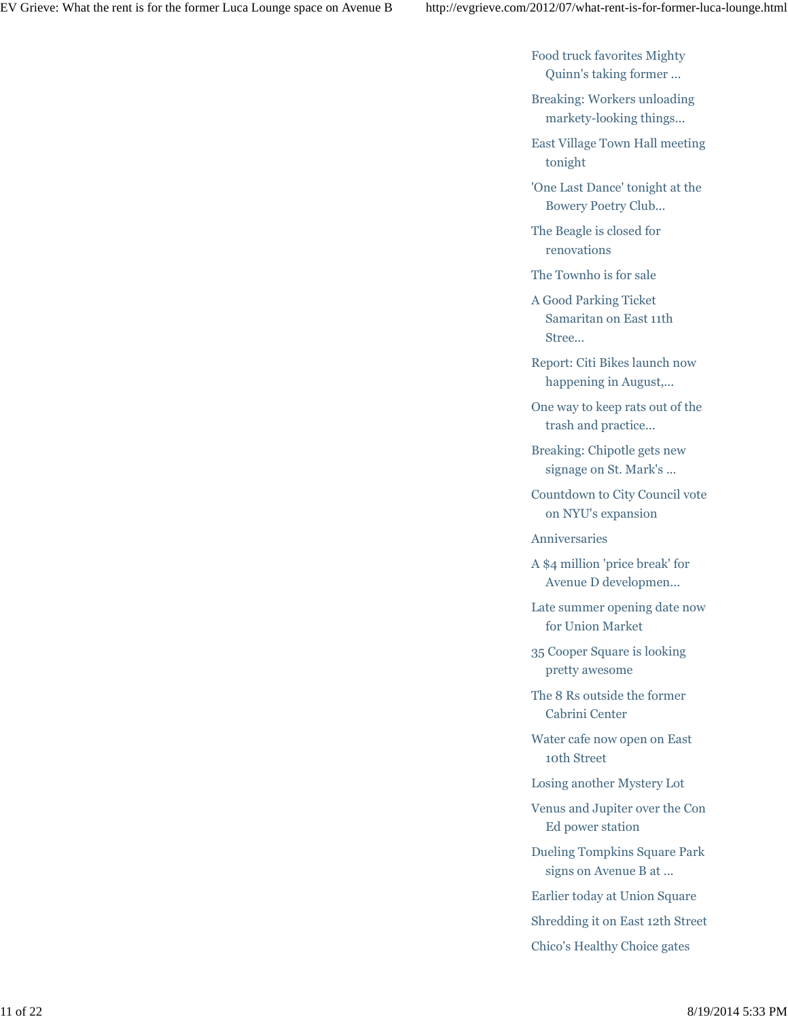Food truck favorites Mighty Quinn's taking former ...

Breaking: Workers unloading markety-looking things...

East Village Town Hall meeting tonight

'One Last Dance' tonight at the Bowery Poetry Club...

The Beagle is closed for renovations

The Townho is for sale

A Good Parking Ticket Samaritan on East 11th Stree...

Report: Citi Bikes launch now happening in August,...

One way to keep rats out of the trash and practice...

Breaking: Chipotle gets new signage on St. Mark's ...

Countdown to City Council vote on NYU's expansion

Anniversaries

A \$4 million 'price break' for Avenue D developmen...

Late summer opening date now for Union Market

35 Cooper Square is looking pretty awesome

The 8 Rs outside the former Cabrini Center

Water cafe now open on East 10th Street

Losing another Mystery Lot

Venus and Jupiter over the Con Ed power station

Dueling Tompkins Square Park signs on Avenue B at ...

Earlier today at Union Square

Shredding it on East 12th Street

Chico's Healthy Choice gates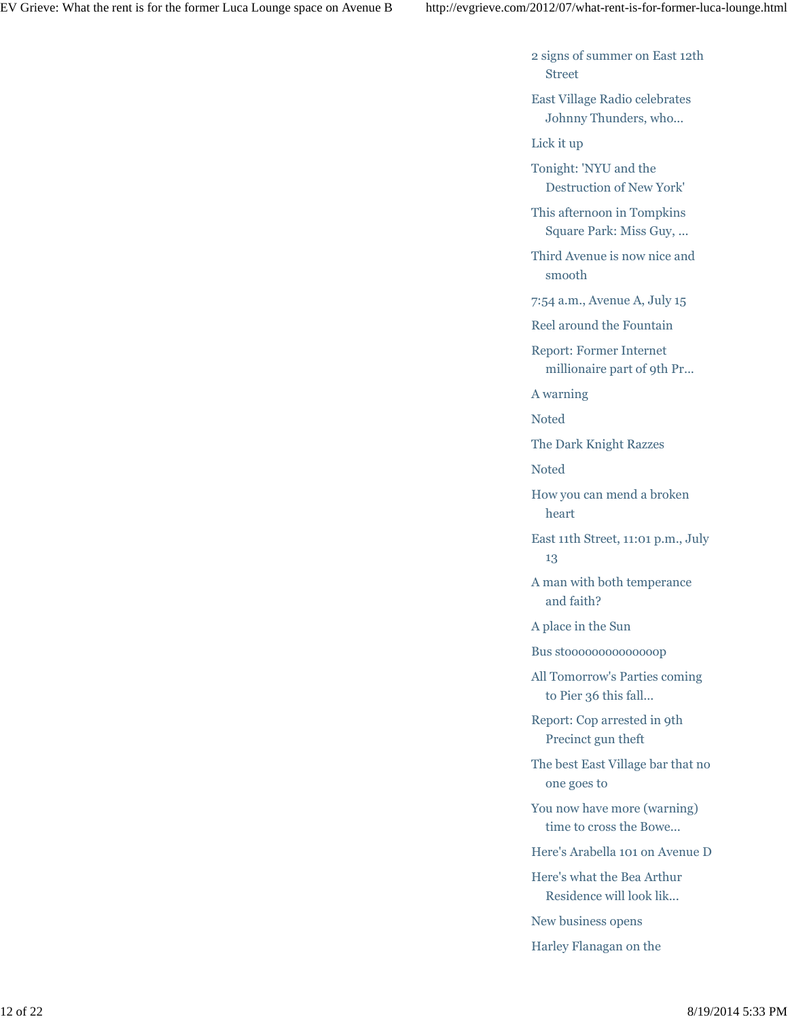2 signs of summer on East 12th Street

East Village Radio celebrates Johnny Thunders, who...

Lick it up

Tonight: 'NYU and the Destruction of New York'

This afternoon in Tompkins Square Park: Miss Guy, ...

Third Avenue is now nice and smooth

7:54 a.m., Avenue A, July 15

Reel around the Fountain

Report: Former Internet millionaire part of 9th Pr...

A warning

Noted

The Dark Knight Razzes

Noted

How you can mend a broken heart

East 11th Street, 11:01 p.m., July 13

A man with both temperance and faith?

A place in the Sun

Bus stoooooooooooooop

All Tomorrow's Parties coming to Pier 36 this fall...

Report: Cop arrested in 9th Precinct gun theft

The best East Village bar that no one goes to

You now have more (warning) time to cross the Bowe...

Here's Arabella 101 on Avenue D

Here's what the Bea Arthur Residence will look lik...

New business opens

Harley Flanagan on the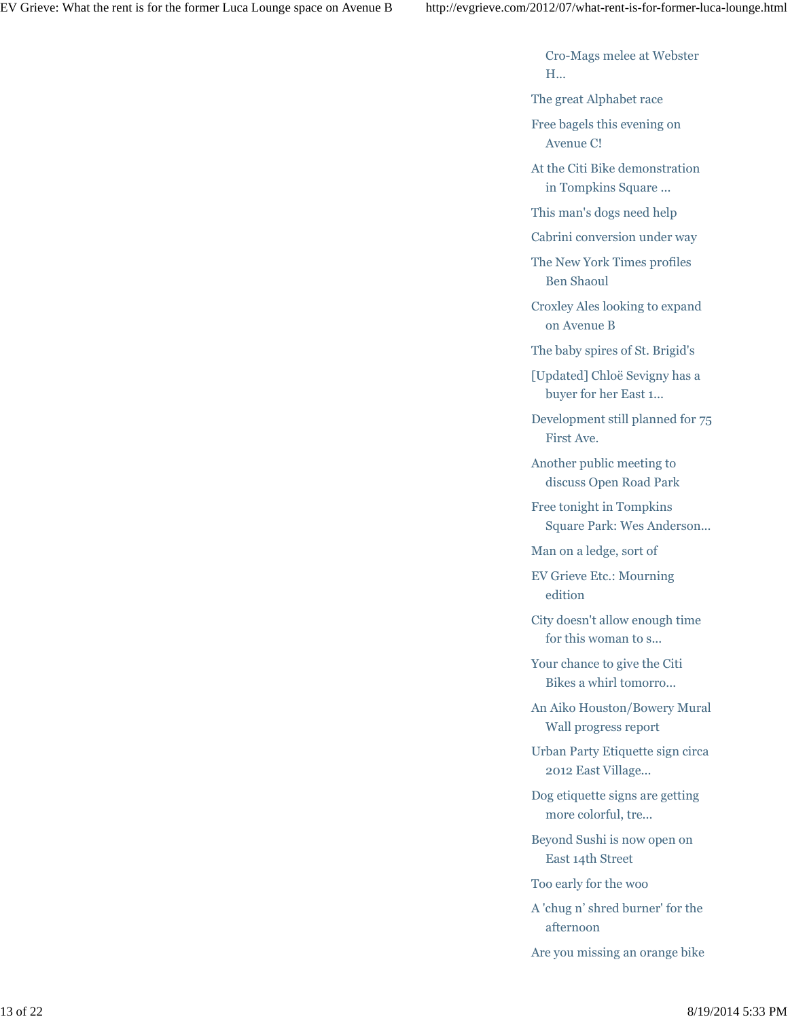Cro-Mags melee at Webster H...

The great Alphabet race

Free bagels this evening on Avenue C!

At the Citi Bike demonstration in Tompkins Square ...

This man's dogs need help

Cabrini conversion under way

The New York Times profiles Ben Shaoul

Croxley Ales looking to expand on Avenue B

The baby spires of St. Brigid's

[Updated] Chloë Sevigny has a buyer for her East 1...

Development still planned for 75 First Ave.

Another public meeting to discuss Open Road Park

Free tonight in Tompkins Square Park: Wes Anderson...

Man on a ledge, sort of

EV Grieve Etc.: Mourning edition

City doesn't allow enough time for this woman to s...

Your chance to give the Citi Bikes a whirl tomorro...

An Aiko Houston/Bowery Mural Wall progress report

Urban Party Etiquette sign circa 2012 East Village...

Dog etiquette signs are getting more colorful, tre...

Beyond Sushi is now open on East 14th Street

Too early for the woo

A 'chug n' shred burner' for the afternoon

Are you missing an orange bike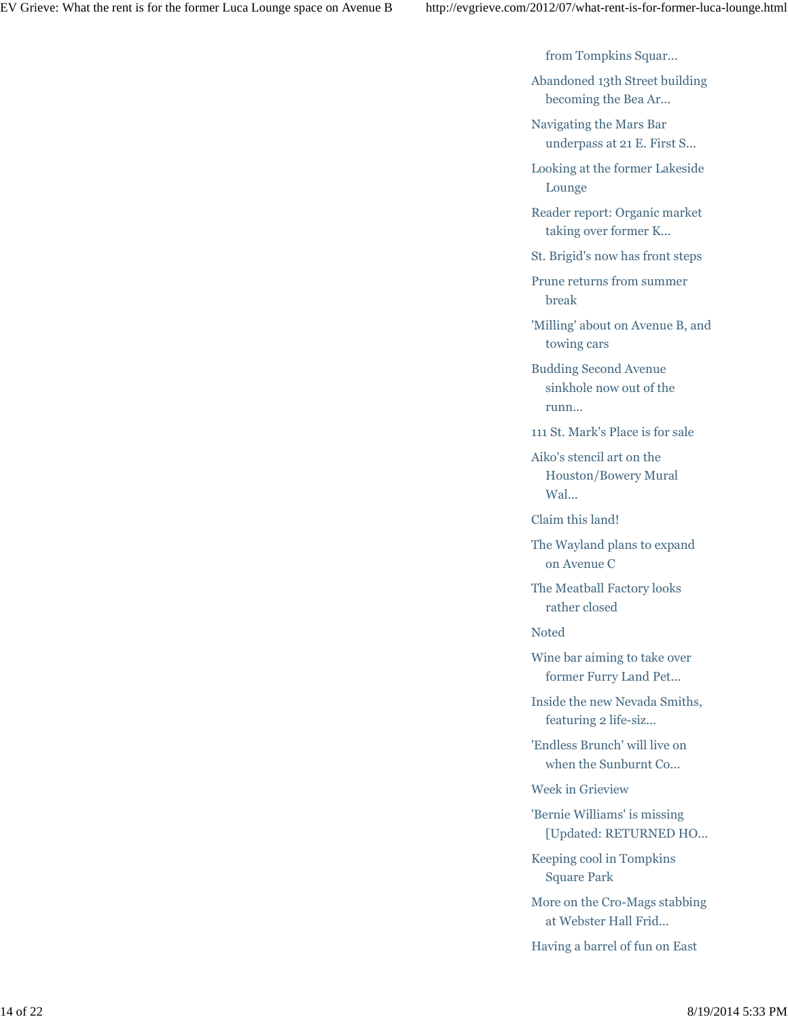from Tompkins Squar...

Abandoned 13th Street building becoming the Bea Ar...

Navigating the Mars Bar underpass at 21 E. First S...

Looking at the former Lakeside Lounge

Reader report: Organic market taking over former K...

St. Brigid's now has front steps

Prune returns from summer break

'Milling' about on Avenue B, and towing cars

Budding Second Avenue sinkhole now out of the runn...

111 St. Mark's Place is for sale

Aiko's stencil art on the Houston/Bowery Mural Wal...

Claim this land!

The Wayland plans to expand on Avenue C

The Meatball Factory looks rather closed

Noted

Wine bar aiming to take over former Furry Land Pet...

Inside the new Nevada Smiths, featuring 2 life-siz...

'Endless Brunch' will live on when the Sunburnt Co...

Week in Grieview

'Bernie Williams' is missing [Updated: RETURNED HO...

Keeping cool in Tompkins Square Park

More on the Cro-Mags stabbing at Webster Hall Frid...

Having a barrel of fun on East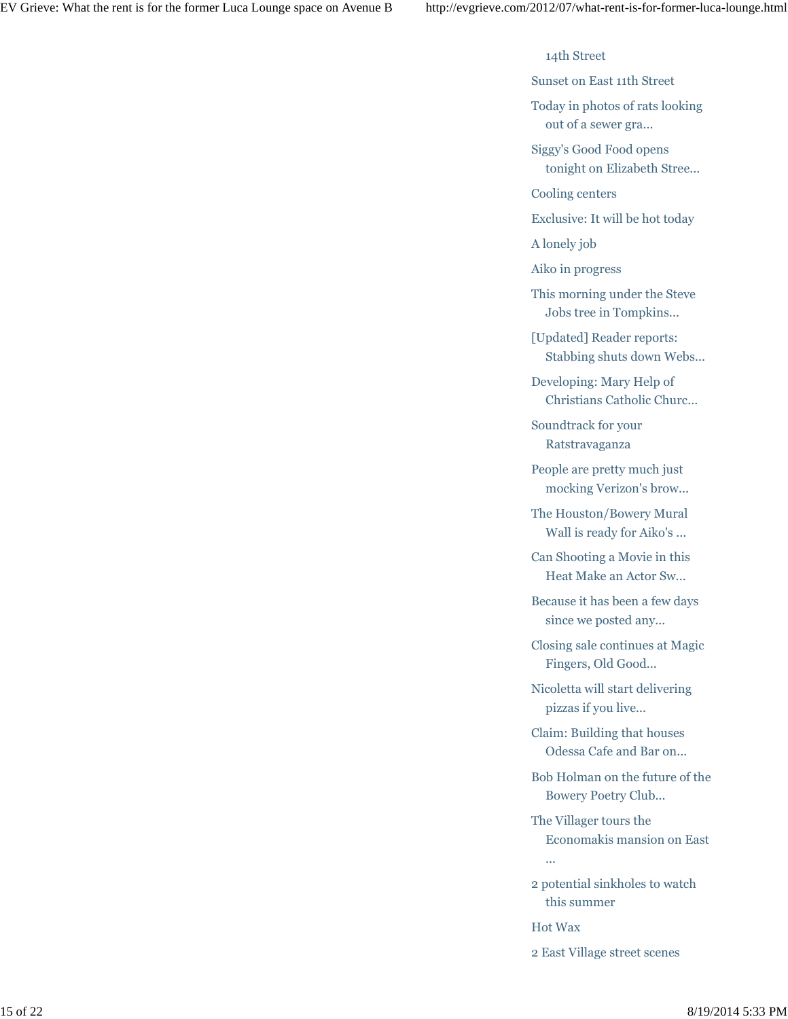14th Street

Sunset on East 11th Street

Today in photos of rats looking out of a sewer gra...

Siggy's Good Food opens tonight on Elizabeth Stree...

Cooling centers

Exclusive: It will be hot today

A lonely job

Aiko in progress

This morning under the Steve Jobs tree in Tompkins...

[Updated] Reader reports: Stabbing shuts down Webs...

Developing: Mary Help of Christians Catholic Churc...

Soundtrack for your Ratstravaganza

People are pretty much just mocking Verizon's brow...

The Houston/Bowery Mural Wall is ready for Aiko's ...

Can Shooting a Movie in this Heat Make an Actor Sw...

Because it has been a few days since we posted any...

Closing sale continues at Magic Fingers, Old Good...

Nicoletta will start delivering pizzas if you live...

Claim: Building that houses Odessa Cafe and Bar on...

Bob Holman on the future of the Bowery Poetry Club...

The Villager tours the Economakis mansion on East

2 potential sinkholes to watch this summer

Hot Wax

...

2 East Village street scenes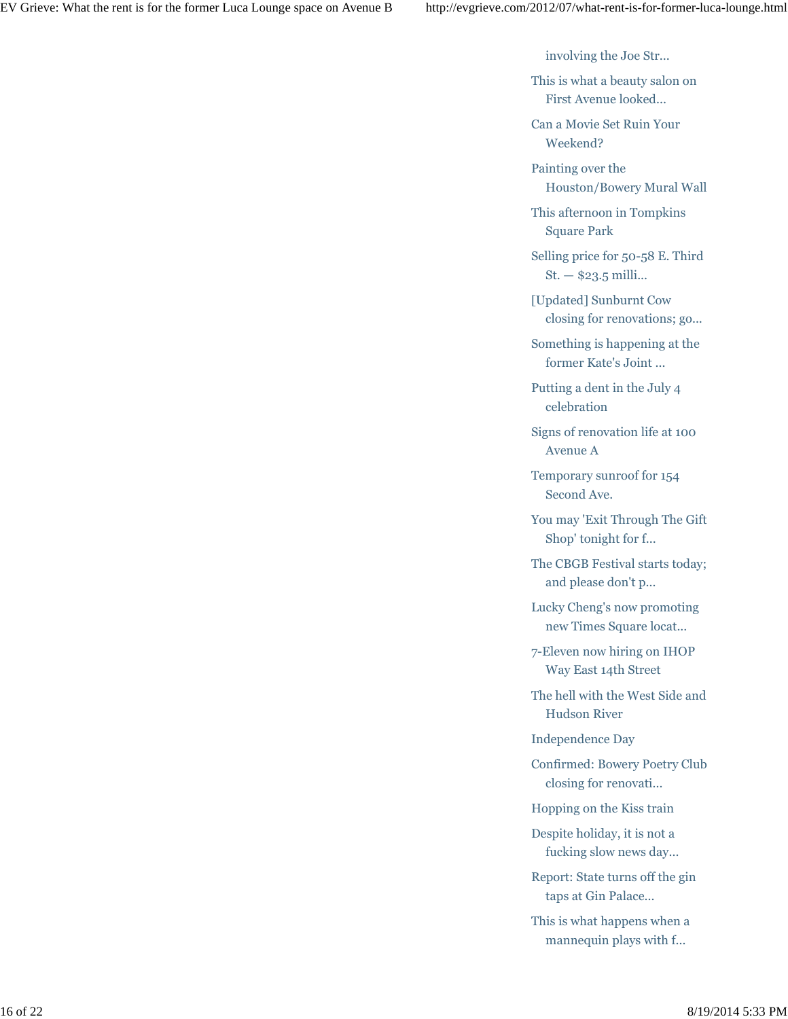involving the Joe Str...

This is what a beauty salon on First Avenue looked...

Can a Movie Set Ruin Your Weekend?

Painting over the Houston/Bowery Mural Wall

This afternoon in Tompkins Square Park

Selling price for 50-58 E. Third St. — \$23.5 milli...

[Updated] Sunburnt Cow closing for renovations; go...

Something is happening at the former Kate's Joint ...

Putting a dent in the July 4 celebration

Signs of renovation life at 100 Avenue A

Temporary sunroof for 154 Second Ave.

You may 'Exit Through The Gift Shop' tonight for f...

The CBGB Festival starts today; and please don't p...

Lucky Cheng's now promoting new Times Square locat...

7-Eleven now hiring on IHOP Way East 14th Street

The hell with the West Side and Hudson River

Independence Day

Confirmed: Bowery Poetry Club closing for renovati...

Hopping on the Kiss train

Despite holiday, it is not a fucking slow news day...

Report: State turns off the gin taps at Gin Palace...

This is what happens when a mannequin plays with f...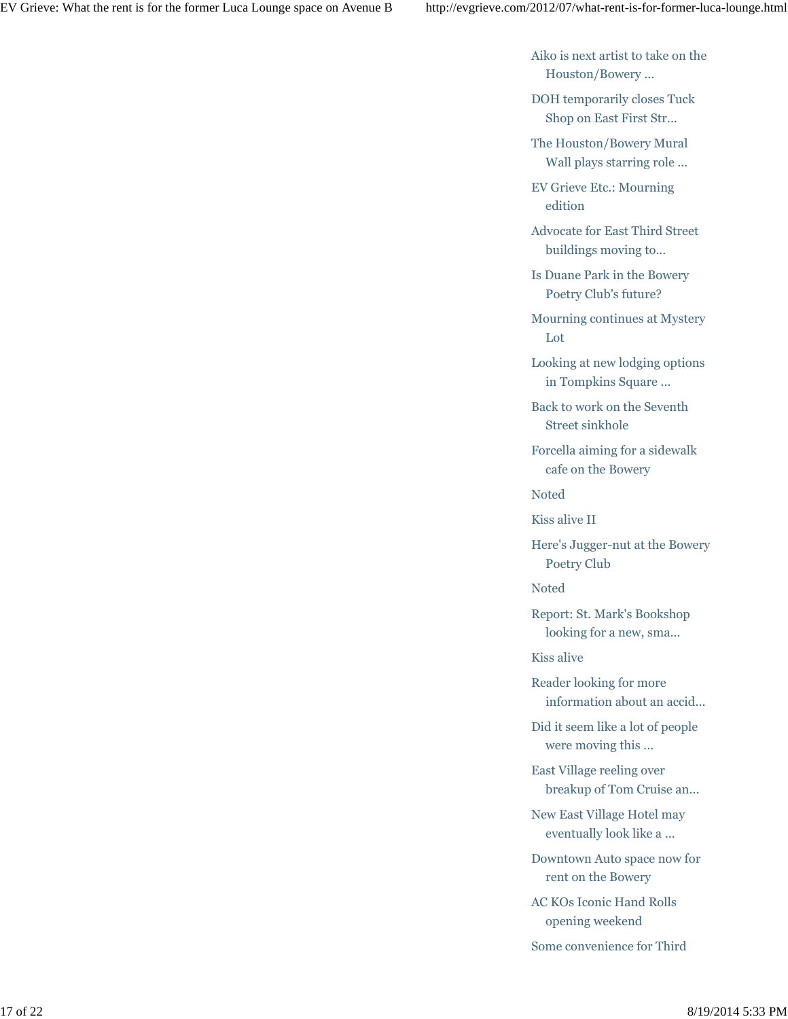Aiko is next artist to take on the Houston/Bowery ...

DOH temporarily closes Tuck Shop on East First Str...

The Houston/Bowery Mural Wall plays starring role ...

EV Grieve Etc.: Mourning edition

Advocate for East Third Street buildings moving to...

Is Duane Park in the Bowery Poetry Club's future?

Mourning continues at Mystery Lot

Looking at new lodging options in Tompkins Square ...

Back to work on the Seventh Street sinkhole

Forcella aiming for a sidewalk cafe on the Bowery

Noted

Kiss alive II

Here's Jugger-nut at the Bowery Poetry Club

Noted

Report: St. Mark's Bookshop looking for a new, sma...

Kiss alive

Reader looking for more information about an accid...

Did it seem like a lot of people were moving this ...

East Village reeling over breakup of Tom Cruise an...

New East Village Hotel may eventually look like a ...

Downtown Auto space now for rent on the Bowery

AC KOs Iconic Hand Rolls opening weekend

Some convenience for Third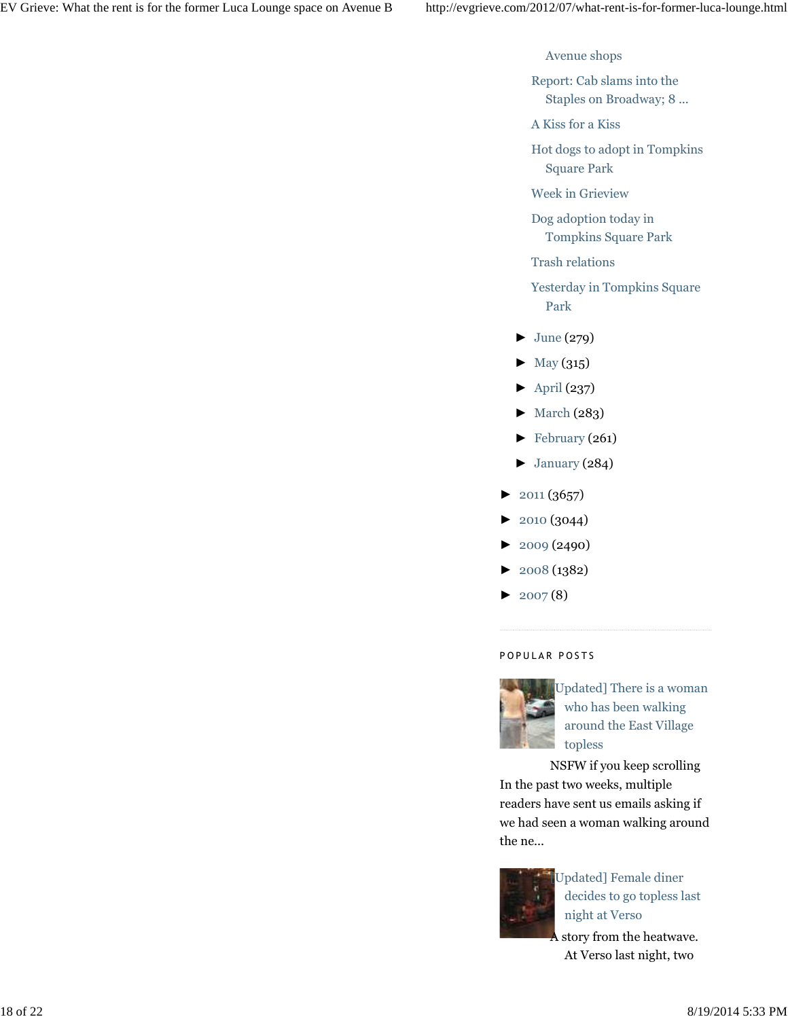Avenue shops

Report: Cab slams into the Staples on Broadway; 8 ...

A Kiss for a Kiss

Hot dogs to adopt in Tompkins Square Park

Week in Grieview

Dog adoption today in Tompkins Square Park

Trash relations

Yesterday in Tompkins Square Park

- $\blacktriangleright$  June (279)
- $\blacktriangleright$  May (315)
- $\blacktriangleright$  April (237)
- ► March (283)
- ► February (261)
- $\blacktriangleright$  January (284)
- $\blacktriangleright$  2011 (3657)
- ► 2010 (3044)
- ► 2009 (2490)
- ► 2008 (1382)
- $\blacktriangleright$  2007(8)

# POPULAR POSTS



[Updated] There is a woman who has been walking around the East Village topless

NSFW if you keep scrolling In the past two weeks, multiple readers have sent us emails asking if we had seen a woman walking around the ne...



Updated] Female diner decides to go topless last night at Verso

A story from the heatwave. At Verso last night, two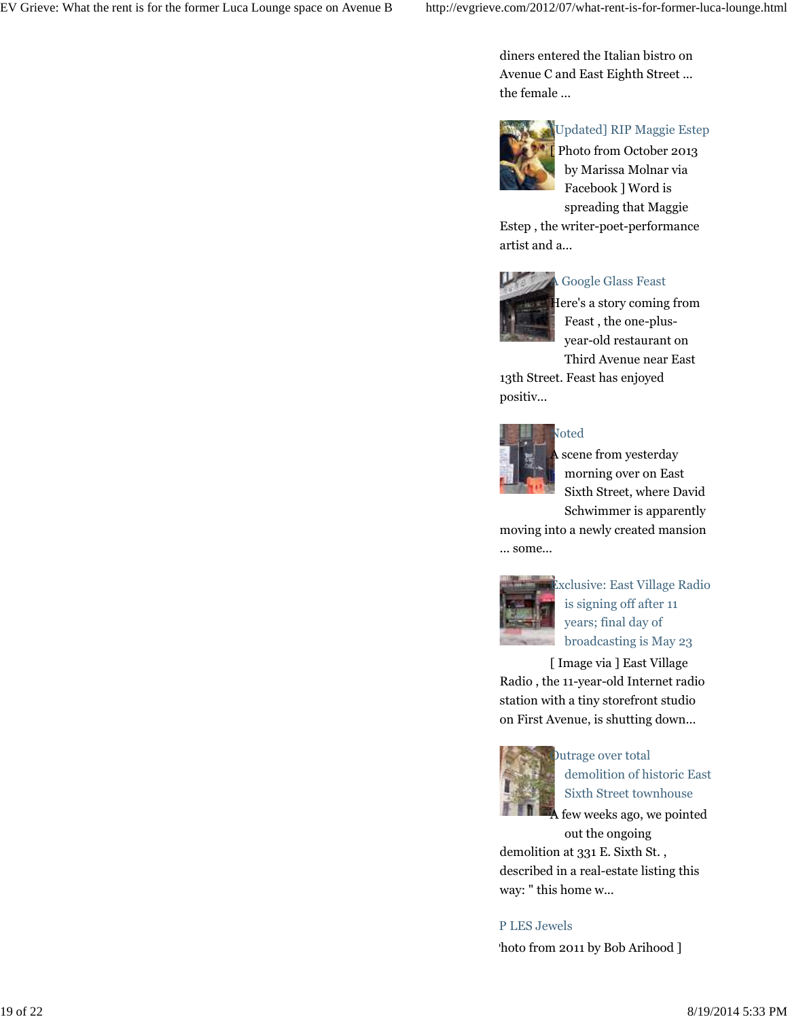diners entered the Italian bistro on Avenue C and East Eighth Street ... the female ...



[Updated] RIP Maggie Estep

Photo from October 2013 by Marissa Molnar via Facebook ] Word is spreading that Maggie

Estep , the writer-poet-performance artist and a...



# A Google Glass Feast

Here's a story coming from Feast , the one-plusyear-old restaurant on Third Avenue near East

13th Street. Feast has enjoyed positiv...



scene from yesterday morning over on East Sixth Street, where David Schwimmer is apparently

moving into a newly created mansion ... some...



Exclusive: East Village Radio is signing off after 11 years; final day of broadcasting is May 23

[ Image via ] East Village Radio , the 11-year-old Internet radio station with a tiny storefront studio on First Avenue, is shutting down...



Outrage over total demolition of historic East Sixth Street townhouse

few weeks ago, we pointed out the ongoing

demolition at 331 E. Sixth St. , described in a real-estate listing this way: " this home w...

# P LES Jewels

'hoto from 2011 by Bob Arihood ]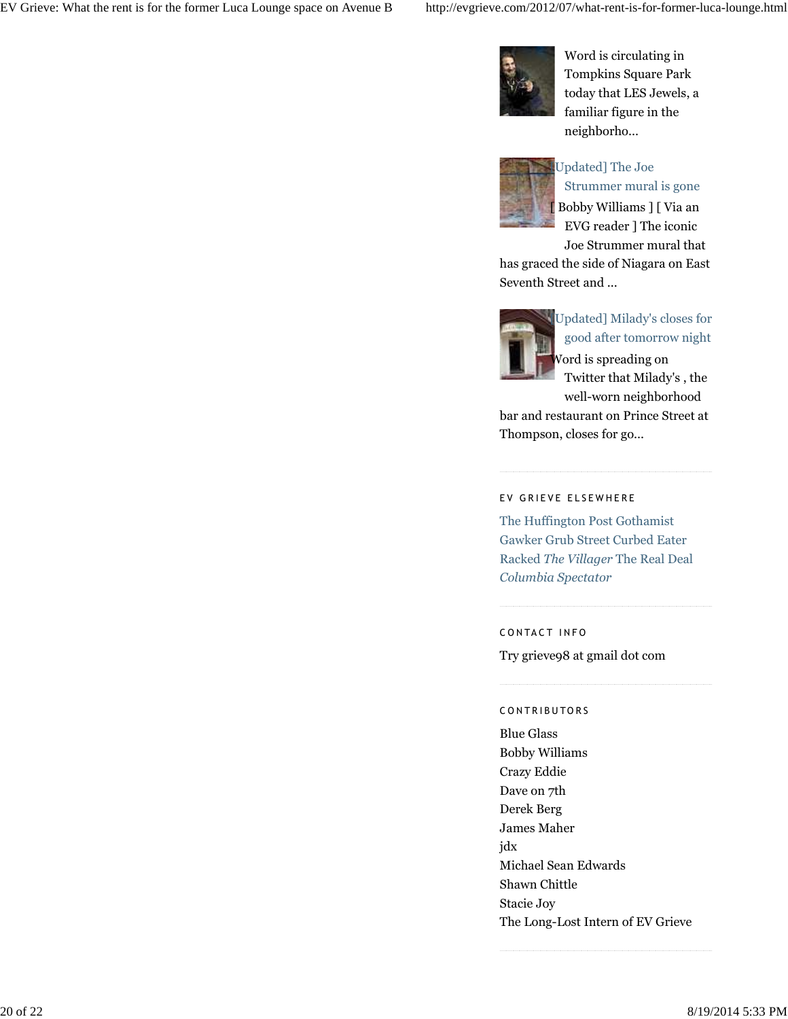

Word is circulating in Tompkins Square Park today that LES Jewels, a familiar figure in the neighborho...



# Updated] The Joe

Strummer mural is gone [ Bobby Williams ] [ Via an EVG reader ] The iconic Joe Strummer mural that

has graced the side of Niagara on East Seventh Street and ...



Updated] Milady's closes for good after tomorrow night Word is spreading on Twitter that Milady's , the

well-worn neighborhood bar and restaurant on Prince Street at Thompson, closes for go...

#### EV GRIEVE ELSEWHERE

The Huffington Post Gothamist Gawker Grub Street Curbed Eater Racked *The Villager* The Real Deal *Columbia Spectator*

CONTACT INFO

Try grieve98 at gmail dot com

#### CONTRIBUTORS

Blue Glass Bobby Williams Crazy Eddie Dave on 7th Derek Berg James Maher jdx Michael Sean Edwards Shawn Chittle Stacie Joy The Long-Lost Intern of EV Grieve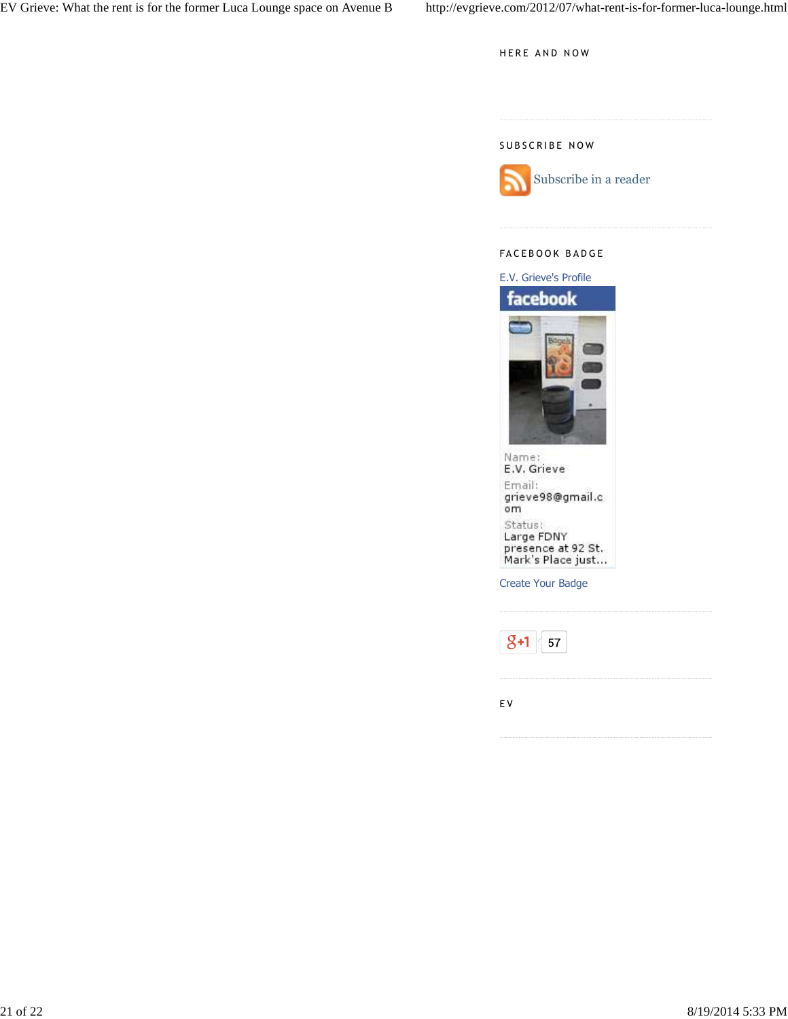HERE AND NOW

## SUBSCRIBE NOW



## FACEBOOK BADGE



Create Your Badge



E V